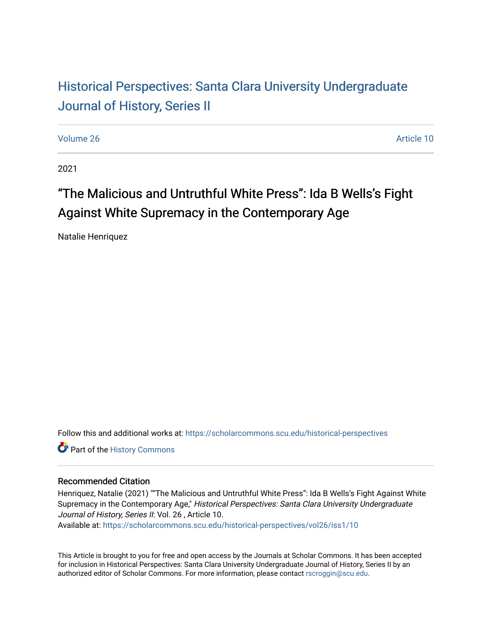# Historical Perspectiv[es: Santa Clara University Under](https://scholarcommons.scu.edu/historical-perspectives)graduate [Journal of History, Series II](https://scholarcommons.scu.edu/historical-perspectives)

[Volume 26](https://scholarcommons.scu.edu/historical-perspectives/vol26) Article 10

2021

# "The Malicious and Untruthful White Press": Ida B Wells's Fight Against White Supremacy in the Contemporary Age

Natalie Henriquez

Follow this and additional works at: [https://scholarcommons.scu.edu/historical-perspectives](https://scholarcommons.scu.edu/historical-perspectives?utm_source=scholarcommons.scu.edu%2Fhistorical-perspectives%2Fvol26%2Fiss1%2F10&utm_medium=PDF&utm_campaign=PDFCoverPages) 

Part of the [History Commons](http://network.bepress.com/hgg/discipline/489?utm_source=scholarcommons.scu.edu%2Fhistorical-perspectives%2Fvol26%2Fiss1%2F10&utm_medium=PDF&utm_campaign=PDFCoverPages) 

#### Recommended Citation

Henriquez, Natalie (2021) ""The Malicious and Untruthful White Press": Ida B Wells's Fight Against White Supremacy in the Contemporary Age," Historical Perspectives: Santa Clara University Undergraduate Journal of History, Series II: Vol. 26 , Article 10.

Available at: [https://scholarcommons.scu.edu/historical-perspectives/vol26/iss1/10](https://scholarcommons.scu.edu/historical-perspectives/vol26/iss1/10?utm_source=scholarcommons.scu.edu%2Fhistorical-perspectives%2Fvol26%2Fiss1%2F10&utm_medium=PDF&utm_campaign=PDFCoverPages)

This Article is brought to you for free and open access by the Journals at Scholar Commons. It has been accepted for inclusion in Historical Perspectives: Santa Clara University Undergraduate Journal of History, Series II by an authorized editor of Scholar Commons. For more information, please contact [rscroggin@scu.edu](mailto:rscroggin@scu.edu).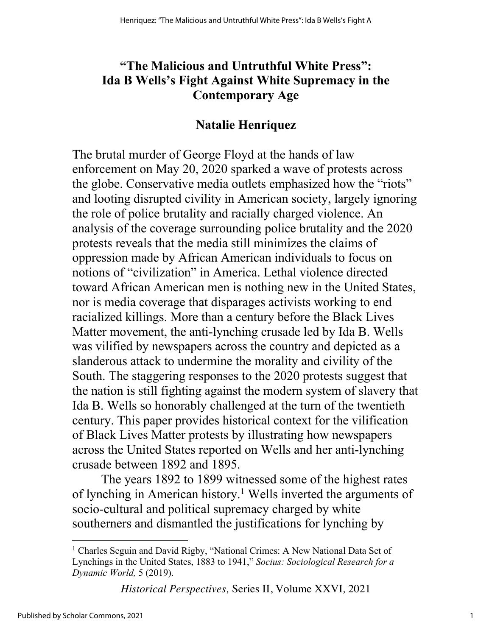# **"The Malicious and Untruthful White Press": Ida B Wells's Fight Against White Supremacy in the Contemporary Age**

#### **Natalie Henriquez**

The brutal murder of George Floyd at the hands of law enforcement on May 20, 2020 sparked a wave of protests across the globe. Conservative media outlets emphasized how the "riots" and looting disrupted civility in American society, largely ignoring the role of police brutality and racially charged violence. An analysis of the coverage surrounding police brutality and the 2020 protests reveals that the media still minimizes the claims of oppression made by African American individuals to focus on notions of "civilization" in America. Lethal violence directed toward African American men is nothing new in the United States, nor is media coverage that disparages activists working to end racialized killings. More than a century before the Black Lives Matter movement, the anti-lynching crusade led by Ida B. Wells was vilified by newspapers across the country and depicted as a slanderous attack to undermine the morality and civility of the South. The staggering responses to the 2020 protests suggest that the nation is still fighting against the modern system of slavery that Ida B. Wells so honorably challenged at the turn of the twentieth century. This paper provides historical context for the vilification of Black Lives Matter protests by illustrating how newspapers across the United States reported on Wells and her anti-lynching crusade between 1892 and 1895.

The years 1892 to 1899 witnessed some of the highest rates of lynching in American history.<sup>1</sup> Wells inverted the arguments of socio-cultural and political supremacy charged by white southerners and dismantled the justifications for lynching by

<sup>&</sup>lt;sup>1</sup> Charles Seguin and David Rigby, "National Crimes: A New National Data Set of Lynchings in the United States, 1883 to 1941," *Socius: Sociological Research for a Dynamic World,* 5 (2019).

*Historical Perspectives,* Series II, Volume XXVI*,* 2021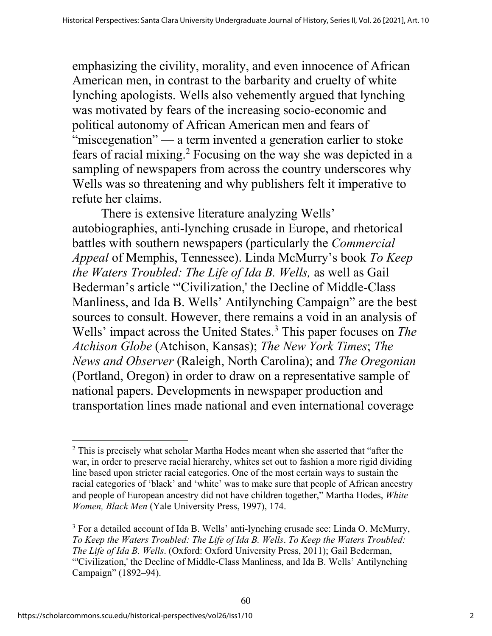emphasizing the civility, morality, and even innocence of African American men, in contrast to the barbarity and cruelty of white lynching apologists. Wells also vehemently argued that lynching was motivated by fears of the increasing socio-economic and political autonomy of African American men and fears of "miscegenation" — a term invented a generation earlier to stoke fears of racial mixing.2 Focusing on the way she was depicted in a sampling of newspapers from across the country underscores why Wells was so threatening and why publishers felt it imperative to refute her claims.

There is extensive literature analyzing Wells' autobiographies, anti-lynching crusade in Europe, and rhetorical battles with southern newspapers (particularly the *Commercial Appeal* of Memphis, Tennessee). Linda McMurry's book *To Keep the Waters Troubled: The Life of Ida B. Wells,* as well as Gail Bederman's article "'Civilization,' the Decline of Middle-Class Manliness, and Ida B. Wells' Antilynching Campaign" are the best sources to consult. However, there remains a void in an analysis of Wells' impact across the United States.3 This paper focuses on *The Atchison Globe* (Atchison, Kansas); *The New York Times*; *The News and Observer* (Raleigh, North Carolina); and *The Oregonian*  (Portland, Oregon) in order to draw on a representative sample of national papers. Developments in newspaper production and transportation lines made national and even international coverage

 $2$  This is precisely what scholar Martha Hodes meant when she asserted that "after the war, in order to preserve racial hierarchy, whites set out to fashion a more rigid dividing line based upon stricter racial categories. One of the most certain ways to sustain the racial categories of 'black' and 'white' was to make sure that people of African ancestry and people of European ancestry did not have children together," Martha Hodes, *White Women, Black Men* (Yale University Press, 1997), 174.

<sup>&</sup>lt;sup>3</sup> For a detailed account of Ida B. Wells' anti-lynching crusade see: Linda O. McMurry, *To Keep the Waters Troubled: The Life of Ida B. Wells*. *To Keep the Waters Troubled: The Life of Ida B. Wells*. (Oxford: Oxford University Press, 2011); Gail Bederman, "'Civilization,' the Decline of Middle-Class Manliness, and Ida B. Wells' Antilynching Campaign" (1892–94).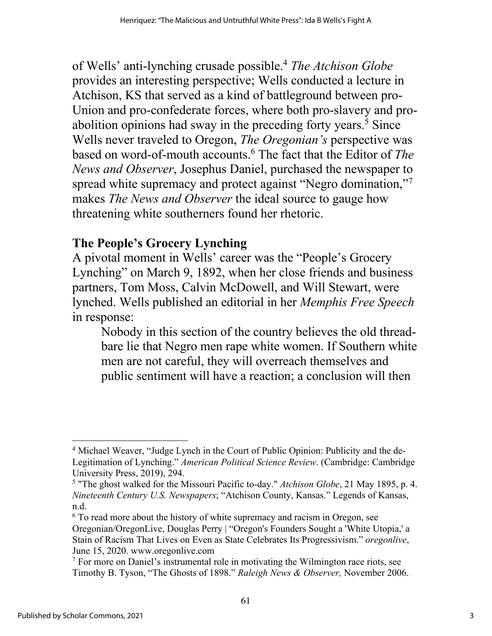of Wells' anti-lynching crusade possible.4 *The Atchison Globe* provides an interesting perspective; Wells conducted a lecture in Atchison, KS that served as a kind of battleground between pro-Union and pro-confederate forces, where both pro-slavery and proabolition opinions had sway in the preceding forty years.<sup>5</sup> Since Wells never traveled to Oregon, *The Oregonian's* perspective was based on word-of-mouth accounts.6 The fact that the Editor of *The News and Observer*, Josephus Daniel, purchased the newspaper to spread white supremacy and protect against "Negro domination," makes *The News and Observer* the ideal source to gauge how threatening white southerners found her rhetoric.

# **The People's Grocery Lynching**

A pivotal moment in Wells' career was the "People's Grocery Lynching" on March 9, 1892, when her close friends and business partners, Tom Moss, Calvin McDowell, and Will Stewart, were lynched. Wells published an editorial in her *Memphis Free Speech*  in response:

Nobody in this section of the country believes the old threadbare lie that Negro men rape white women. If Southern white men are not careful, they will overreach themselves and public sentiment will have a reaction; a conclusion will then

<sup>&</sup>lt;sup>4</sup> Michael Weaver, "Judge Lynch in the Court of Public Opinion: Publicity and the de-Legitimation of Lynching." *American Political Science Review*. (Cambridge: Cambridge University Press, 2019), 294.

<sup>5</sup> "The ghost walked for the Missouri Pacific to-day." *Atchison Globe*, 21 May 1895, p. 4. *Nineteenth Century U.S. Newspapers*; "Atchison County, Kansas." Legends of Kansas, n.d.

 $6$  To read more about the history of white supremacy and racism in Oregon, see Oregonian/OregonLive, Douglas Perry | "Oregon's Founders Sought a 'White Utopia,' a Stain of Racism That Lives on Even as State Celebrates Its Progressivism." *oregonlive*, June 15, 2020. www.oregonlive.com

<sup>&</sup>lt;sup>7</sup> For more on Daniel's instrumental role in motivating the Wilmington race riots, see Timothy B. Tyson, "The Ghosts of 1898." *Raleigh News & Observer,* November 2006.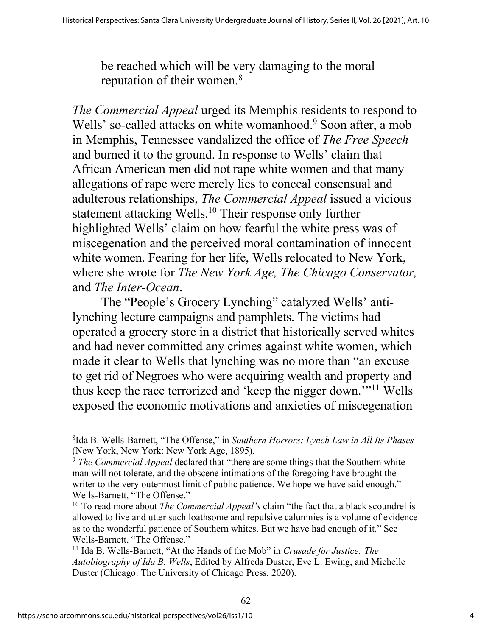be reached which will be very damaging to the moral reputation of their women.<sup>8</sup>

*The Commercial Appeal* urged its Memphis residents to respond to Wells' so-called attacks on white womanhood.<sup>9</sup> Soon after, a mob in Memphis, Tennessee vandalized the office of *The Free Speech*  and burned it to the ground. In response to Wells' claim that African American men did not rape white women and that many allegations of rape were merely lies to conceal consensual and adulterous relationships, *The Commercial Appeal* issued a vicious statement attacking Wells.<sup>10</sup> Their response only further highlighted Wells' claim on how fearful the white press was of miscegenation and the perceived moral contamination of innocent white women. Fearing for her life, Wells relocated to New York, where she wrote for *The New York Age, The Chicago Conservator,*  and *The Inter-Ocean*.

The "People's Grocery Lynching" catalyzed Wells' antilynching lecture campaigns and pamphlets. The victims had operated a grocery store in a district that historically served whites and had never committed any crimes against white women, which made it clear to Wells that lynching was no more than "an excuse to get rid of Negroes who were acquiring wealth and property and thus keep the race terrorized and 'keep the nigger down.'"11 Wells exposed the economic motivations and anxieties of miscegenation

<sup>8</sup>Ida B. Wells-Barnett, "The Offense," in *Southern Horrors: Lynch Law in All Its Phases* (New York, New York: New York Age, 1895).

<sup>9</sup> *The Commercial Appeal* declared that "there are some things that the Southern white man will not tolerate, and the obscene intimations of the foregoing have brought the writer to the very outermost limit of public patience. We hope we have said enough." Wells-Barnett, "The Offense."

<sup>10</sup> To read more about *The Commercial Appeal's* claim "the fact that a black scoundrel is allowed to live and utter such loathsome and repulsive calumnies is a volume of evidence as to the wonderful patience of Southern whites. But we have had enough of it." See Wells-Barnett, "The Offense."

<sup>11</sup> Ida B. Wells-Barnett, "At the Hands of the Mob" in *Crusade for Justice: The Autobiography of Ida B. Wells*, Edited by Alfreda Duster, Eve L. Ewing, and Michelle Duster (Chicago: The University of Chicago Press, 2020).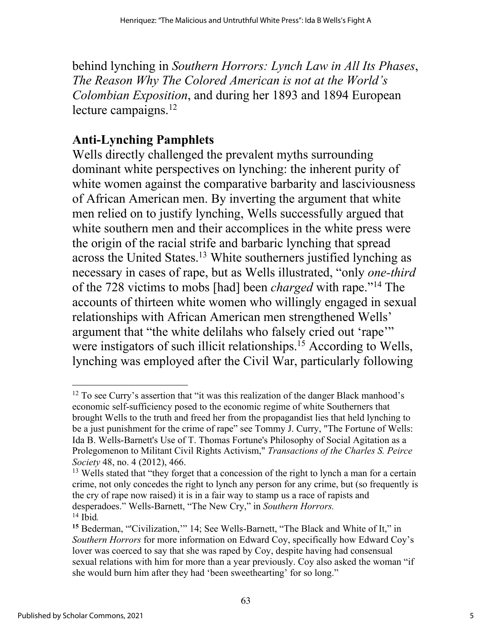behind lynching in *Southern Horrors: Lynch Law in All Its Phases*, *The Reason Why The Colored American is not at the World's Colombian Exposition*, and during her 1893 and 1894 European lecture campaigns.<sup>12</sup>

# **Anti-Lynching Pamphlets**

Wells directly challenged the prevalent myths surrounding dominant white perspectives on lynching: the inherent purity of white women against the comparative barbarity and lasciviousness of African American men. By inverting the argument that white men relied on to justify lynching, Wells successfully argued that white southern men and their accomplices in the white press were the origin of the racial strife and barbaric lynching that spread across the United States.13 White southerners justified lynching as necessary in cases of rape, but as Wells illustrated, "only *one-third* of the 728 victims to mobs [had] been *charged* with rape."14 The accounts of thirteen white women who willingly engaged in sexual relationships with African American men strengthened Wells' argument that "the white delilahs who falsely cried out 'rape'" were instigators of such illicit relationships.<sup>15</sup> According to Wells, lynching was employed after the Civil War, particularly following

 $12$  To see Curry's assertion that "it was this realization of the danger Black manhood's economic self-sufficiency posed to the economic regime of white Southerners that brought Wells to the truth and freed her from the propagandist lies that held lynching to be a just punishment for the crime of rape" see Tommy J. Curry, "The Fortune of Wells: Ida B. Wells-Barnett's Use of T. Thomas Fortune's Philosophy of Social Agitation as a Prolegomenon to Militant Civil Rights Activism," *Transactions of the Charles S. Peirce Society* 48, no. 4 (2012), 466.

<sup>&</sup>lt;sup>13</sup> Wells stated that "they forget that a concession of the right to lynch a man for a certain crime, not only concedes the right to lynch any person for any crime, but (so frequently is the cry of rape now raised) it is in a fair way to stamp us a race of rapists and desperadoes." Wells-Barnett, "The New Cry," in *Southern Horrors.* <sup>14</sup> Ibid*.*

**<sup>15</sup>** Bederman, "'Civilization,'" 14; See Wells-Barnett, "The Black and White of It," in *Southern Horrors* for more information on Edward Coy, specifically how Edward Coy's lover was coerced to say that she was raped by Coy, despite having had consensual sexual relations with him for more than a year previously. Coy also asked the woman "if she would burn him after they had 'been sweethearting' for so long."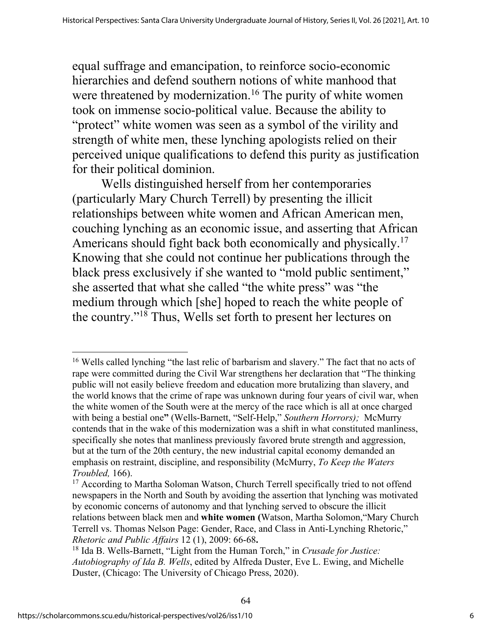equal suffrage and emancipation, to reinforce socio-economic hierarchies and defend southern notions of white manhood that were threatened by modernization.<sup>16</sup> The purity of white women took on immense socio-political value. Because the ability to "protect" white women was seen as a symbol of the virility and strength of white men, these lynching apologists relied on their perceived unique qualifications to defend this purity as justification for their political dominion.

Wells distinguished herself from her contemporaries (particularly Mary Church Terrell) by presenting the illicit relationships between white women and African American men, couching lynching as an economic issue, and asserting that African Americans should fight back both economically and physically.<sup>17</sup> Knowing that she could not continue her publications through the black press exclusively if she wanted to "mold public sentiment," she asserted that what she called "the white press" was "the medium through which [she] hoped to reach the white people of the country."18 Thus, Wells set forth to present her lectures on

<sup>16</sup> Wells called lynching "the last relic of barbarism and slavery." The fact that no acts of rape were committed during the Civil War strengthens her declaration that "The thinking public will not easily believe freedom and education more brutalizing than slavery, and the world knows that the crime of rape was unknown during four years of civil war, when the white women of the South were at the mercy of the race which is all at once charged with being a bestial one**"** (Wells-Barnett, "Self-Help," *Southern Horrors);* McMurry contends that in the wake of this modernization was a shift in what constituted manliness, specifically she notes that manliness previously favored brute strength and aggression, but at the turn of the 20th century, the new industrial capital economy demanded an emphasis on restraint, discipline, and responsibility (McMurry, *To Keep the Waters Troubled,* 166).

<sup>&</sup>lt;sup>17</sup> According to Martha Soloman Watson, Church Terrell specifically tried to not offend newspapers in the North and South by avoiding the assertion that lynching was motivated by economic concerns of autonomy and that lynching served to obscure the illicit relations between black men and **white women (**Watson, Martha Solomon,"Mary Church Terrell vs. Thomas Nelson Page: Gender, Race, and Class in Anti-Lynching Rhetoric," *Rhetoric and Public Affairs* 12 (1), 2009: 66-68**.**

<sup>18</sup> Ida B. Wells-Barnett, "Light from the Human Torch," in *Crusade for Justice: Autobiography of Ida B. Wells*, edited by Alfreda Duster, Eve L. Ewing, and Michelle Duster, (Chicago: The University of Chicago Press, 2020).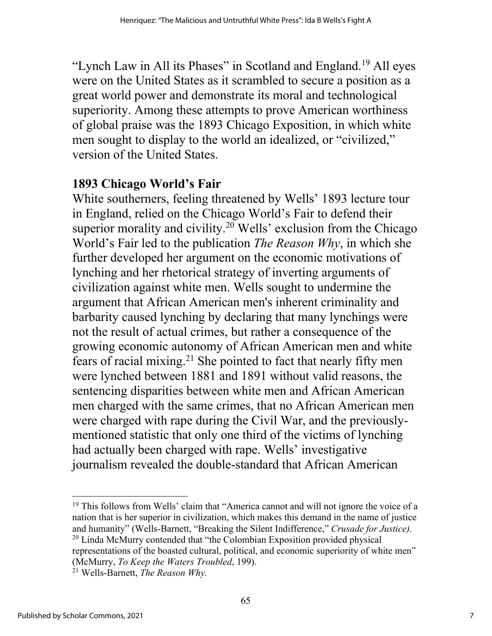"Lynch Law in All its Phases" in Scotland and England.<sup>19</sup> All eyes were on the United States as it scrambled to secure a position as a great world power and demonstrate its moral and technological superiority. Among these attempts to prove American worthiness of global praise was the 1893 Chicago Exposition, in which white men sought to display to the world an idealized, or "civilized," version of the United States.

# **1893 Chicago World's Fair**

White southerners, feeling threatened by Wells' 1893 lecture tour in England, relied on the Chicago World's Fair to defend their superior morality and civility.<sup>20</sup> Wells' exclusion from the Chicago World's Fair led to the publication *The Reason Why*, in which she further developed her argument on the economic motivations of lynching and her rhetorical strategy of inverting arguments of civilization against white men. Wells sought to undermine the argument that African American men's inherent criminality and barbarity caused lynching by declaring that many lynchings were not the result of actual crimes, but rather a consequence of the growing economic autonomy of African American men and white fears of racial mixing.21 She pointed to fact that nearly fifty men were lynched between 1881 and 1891 without valid reasons, the sentencing disparities between white men and African American men charged with the same crimes, that no African American men were charged with rape during the Civil War, and the previouslymentioned statistic that only one third of the victims of lynching had actually been charged with rape. Wells' investigative journalism revealed the double-standard that African American

<sup>&</sup>lt;sup>19</sup> This follows from Wells' claim that "America cannot and will not ignore the voice of a nation that is her superior in civilization, which makes this demand in the name of justice and humanity" (Wells-Barnett, "Breaking the Silent Indifference," *Crusade for Justice).* <sup>20</sup> Linda McMurry contended that "the Colombian Exposition provided physical representations of the boasted cultural, political, and economic superiority of white men" (McMurry, *To Keep the Waters Troubled*, 199).

<sup>21</sup> Wells-Barnett, *The Reason Why.*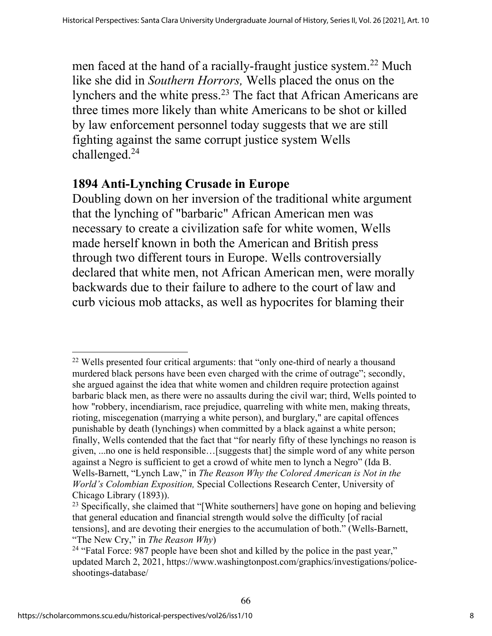men faced at the hand of a racially-fraught justice system.<sup>22</sup> Much like she did in *Southern Horrors,* Wells placed the onus on the lynchers and the white press.23 The fact that African Americans are three times more likely than white Americans to be shot or killed by law enforcement personnel today suggests that we are still fighting against the same corrupt justice system Wells challenged.24

#### **1894 Anti-Lynching Crusade in Europe**

Doubling down on her inversion of the traditional white argument that the lynching of "barbaric" African American men was necessary to create a civilization safe for white women, Wells made herself known in both the American and British press through two different tours in Europe. Wells controversially declared that white men, not African American men, were morally backwards due to their failure to adhere to the court of law and curb vicious mob attacks, as well as hypocrites for blaming their

66

<sup>22</sup> Wells presented four critical arguments: that "only one-third of nearly a thousand murdered black persons have been even charged with the crime of outrage"; secondly, she argued against the idea that white women and children require protection against barbaric black men, as there were no assaults during the civil war; third, Wells pointed to how "robbery, incendiarism, race prejudice, quarreling with white men, making threats, rioting, miscegenation (marrying a white person), and burglary," are capital offences punishable by death (lynchings) when committed by a black against a white person; finally, Wells contended that the fact that "for nearly fifty of these lynchings no reason is given, ...no one is held responsible…[suggests that] the simple word of any white person against a Negro is sufficient to get a crowd of white men to lynch a Negro" (Ida B. Wells-Barnett, "Lynch Law," in *The Reason Why the Colored American is Not in the World's Colombian Exposition,* Special Collections Research Center, University of Chicago Library (1893)).

<sup>&</sup>lt;sup>23</sup> Specifically, she claimed that "[White southerners] have gone on hoping and believing that general education and financial strength would solve the difficulty [of racial tensions], and are devoting their energies to the accumulation of both." (Wells-Barnett, "The New Cry," in *The Reason Why*)

<sup>&</sup>lt;sup>24</sup> "Fatal Force: 987 people have been shot and killed by the police in the past year," updated March 2, 2021, https://www.washingtonpost.com/graphics/investigations/policeshootings-database/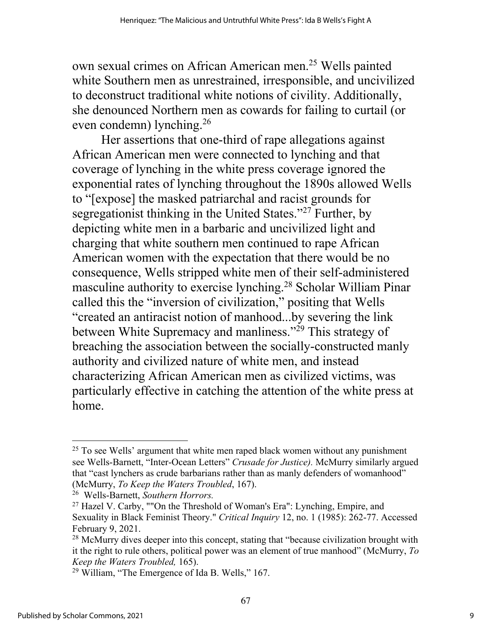own sexual crimes on African American men.25 Wells painted white Southern men as unrestrained, irresponsible, and uncivilized to deconstruct traditional white notions of civility. Additionally, she denounced Northern men as cowards for failing to curtail (or even condemn) lynching.26

Her assertions that one-third of rape allegations against African American men were connected to lynching and that coverage of lynching in the white press coverage ignored the exponential rates of lynching throughout the 1890s allowed Wells to "[expose] the masked patriarchal and racist grounds for segregationist thinking in the United States."<sup>27</sup> Further, by depicting white men in a barbaric and uncivilized light and charging that white southern men continued to rape African American women with the expectation that there would be no consequence, Wells stripped white men of their self-administered masculine authority to exercise lynching.28 Scholar William Pinar called this the "inversion of civilization," positing that Wells "created an antiracist notion of manhood...by severing the link between White Supremacy and manliness."<sup>29</sup> This strategy of breaching the association between the socially-constructed manly authority and civilized nature of white men, and instead characterizing African American men as civilized victims, was particularly effective in catching the attention of the white press at home.

 $25$  To see Wells' argument that white men raped black women without any punishment see Wells-Barnett, "Inter-Ocean Letters" *Crusade for Justice).* McMurry similarly argued that "cast lynchers as crude barbarians rather than as manly defenders of womanhood" (McMurry, *To Keep the Waters Troubled*, 167).

<sup>26</sup> Wells-Barnett, *Southern Horrors.*

<sup>&</sup>lt;sup>27</sup> Hazel V. Carby, ""On the Threshold of Woman's Era": Lynching, Empire, and Sexuality in Black Feminist Theory." *Critical Inquiry* 12, no. 1 (1985): 262-77. Accessed February 9, 2021.

 $28$  McMurry dives deeper into this concept, stating that "because civilization brought with it the right to rule others, political power was an element of true manhood" (McMurry, *To Keep the Waters Troubled,* 165).

 $29$  William, "The Emergence of Ida B. Wells," 167.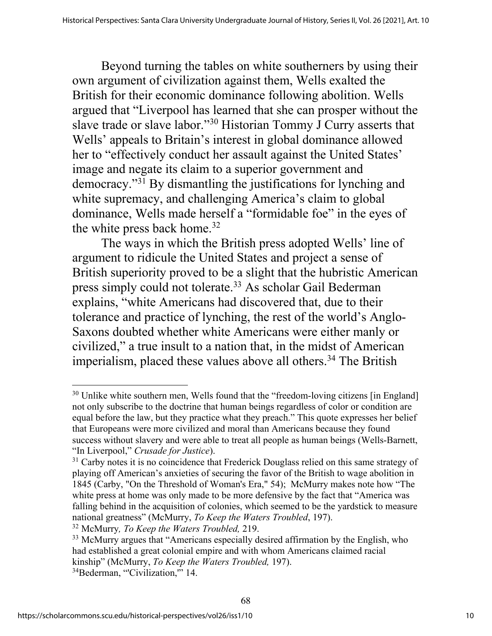Beyond turning the tables on white southerners by using their own argument of civilization against them, Wells exalted the British for their economic dominance following abolition. Wells argued that "Liverpool has learned that she can prosper without the slave trade or slave labor."30 Historian Tommy J Curry asserts that Wells' appeals to Britain's interest in global dominance allowed her to "effectively conduct her assault against the United States' image and negate its claim to a superior government and democracy."31 By dismantling the justifications for lynching and white supremacy, and challenging America's claim to global dominance, Wells made herself a "formidable foe" in the eyes of the white press back home.<sup>32</sup>

The ways in which the British press adopted Wells' line of argument to ridicule the United States and project a sense of British superiority proved to be a slight that the hubristic American press simply could not tolerate.33 As scholar Gail Bederman explains, "white Americans had discovered that, due to their tolerance and practice of lynching, the rest of the world's Anglo-Saxons doubted whether white Americans were either manly or civilized," a true insult to a nation that, in the midst of American imperialism, placed these values above all others.<sup>34</sup> The British

<sup>32</sup> McMurry*, To Keep the Waters Troubled,* 219.

 $30$  Unlike white southern men, Wells found that the "freedom-loving citizens [in England] not only subscribe to the doctrine that human beings regardless of color or condition are equal before the law, but they practice what they preach." This quote expresses her belief that Europeans were more civilized and moral than Americans because they found success without slavery and were able to treat all people as human beings (Wells-Barnett, "In Liverpool," *Crusade for Justice*).

 $31$  Carby notes it is no coincidence that Frederick Douglass relied on this same strategy of playing off American's anxieties of securing the favor of the British to wage abolition in 1845 (Carby, "On the Threshold of Woman's Era," 54); McMurry makes note how "The white press at home was only made to be more defensive by the fact that "America was falling behind in the acquisition of colonies, which seemed to be the yardstick to measure national greatness" (McMurry, *To Keep the Waters Troubled*, 197).

<sup>&</sup>lt;sup>33</sup> McMurry argues that "Americans especially desired affirmation by the English, who had established a great colonial empire and with whom Americans claimed racial kinship" (McMurry, *To Keep the Waters Troubled,* 197). <sup>34</sup>Bederman, "Civilization," 14.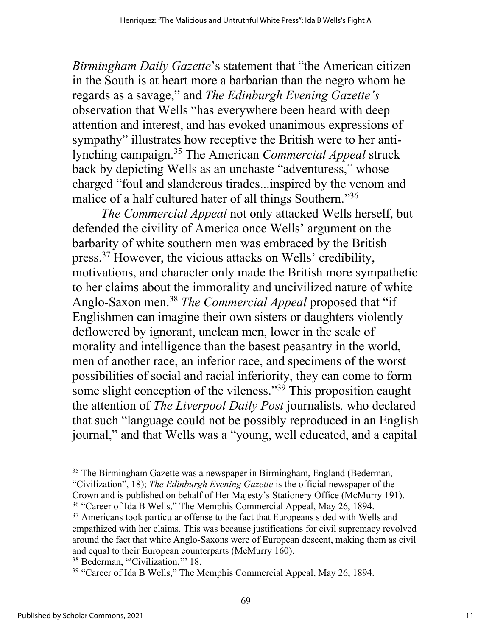*Birmingham Daily Gazette*'s statement that "the American citizen in the South is at heart more a barbarian than the negro whom he regards as a savage," and *The Edinburgh Evening Gazette's* observation that Wells "has everywhere been heard with deep attention and interest, and has evoked unanimous expressions of sympathy" illustrates how receptive the British were to her antilynching campaign.35 The American *Commercial Appeal* struck back by depicting Wells as an unchaste "adventuress," whose charged "foul and slanderous tirades...inspired by the venom and malice of a half cultured hater of all things Southern."<sup>36</sup>

*The Commercial Appeal* not only attacked Wells herself, but defended the civility of America once Wells' argument on the barbarity of white southern men was embraced by the British press.37 However, the vicious attacks on Wells' credibility, motivations, and character only made the British more sympathetic to her claims about the immorality and uncivilized nature of white Anglo-Saxon men.38 *The Commercial Appeal* proposed that "if Englishmen can imagine their own sisters or daughters violently deflowered by ignorant, unclean men, lower in the scale of morality and intelligence than the basest peasantry in the world, men of another race, an inferior race, and specimens of the worst possibilities of social and racial inferiority, they can come to form some slight conception of the vileness."<sup>39</sup> This proposition caught the attention of *The Liverpool Daily Post* journalists*,* who declared that such "language could not be possibly reproduced in an English journal," and that Wells was a "young, well educated, and a capital

<sup>&</sup>lt;sup>35</sup> The Birmingham Gazette was a newspaper in Birmingham, England (Bederman, "Civilization", 18); *The Edinburgh Evening Gazette* is the official newspaper of the Crown and is published on behalf of Her Majesty's Stationery Office (McMurry 191).

<sup>&</sup>lt;sup>36</sup> "Career of Ida B Wells," The Memphis Commercial Appeal, May 26, 1894.

 $37$  Americans took particular offense to the fact that Europeans sided with Wells and empathized with her claims. This was because justifications for civil supremacy revolved around the fact that white Anglo-Saxons were of European descent, making them as civil and equal to their European counterparts (McMurry 160).

<sup>&</sup>lt;sup>38</sup> Bederman, "Civilization," 18.

<sup>&</sup>lt;sup>39</sup> "Career of Ida B Wells," The Memphis Commercial Appeal, May 26, 1894.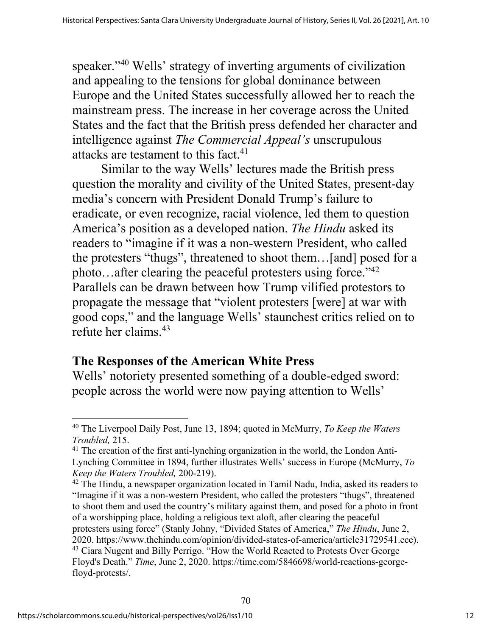speaker."40 Wells' strategy of inverting arguments of civilization and appealing to the tensions for global dominance between Europe and the United States successfully allowed her to reach the mainstream press. The increase in her coverage across the United States and the fact that the British press defended her character and intelligence against *The Commercial Appeal's* unscrupulous attacks are testament to this fact.<sup>41</sup>

Similar to the way Wells' lectures made the British press question the morality and civility of the United States, present-day media's concern with President Donald Trump's failure to eradicate, or even recognize, racial violence, led them to question America's position as a developed nation. *The Hindu* asked its readers to "imagine if it was a non-western President, who called the protesters "thugs", threatened to shoot them…[and] posed for a photo...after clearing the peaceful protesters using force."<sup>42</sup> Parallels can be drawn between how Trump vilified protestors to propagate the message that "violent protesters [were] at war with good cops," and the language Wells' staunchest critics relied on to refute her claims.43

# **The Responses of the American White Press**

Wells' notoriety presented something of a double-edged sword: people across the world were now paying attention to Wells'

 $42$  The Hindu, a newspaper organization located in Tamil Nadu, India, asked its readers to "Imagine if it was a non-western President, who called the protesters "thugs", threatened to shoot them and used the country's military against them, and posed for a photo in front of a worshipping place, holding a religious text aloft, after clearing the peaceful protesters using force" (Stanly Johny, "Divided States of America," *The Hindu*, June 2, 2020. https://www.thehindu.com/opinion/divided-states-of-america/article31729541.ece). <sup>43</sup> Ciara Nugent and Billy Perrigo. "How the World Reacted to Protests Over George Floyd's Death." *Time*, June 2, 2020. https://time.com/5846698/world-reactions-georgefloyd-protests/.

70

<sup>40</sup> The Liverpool Daily Post, June 13, 1894; quoted in McMurry, *To Keep the Waters Troubled,* 215.

<sup>&</sup>lt;sup>41</sup> The creation of the first anti-lynching organization in the world, the London Anti-Lynching Committee in 1894, further illustrates Wells' success in Europe (McMurry, *To Keep the Waters Troubled,* 200-219).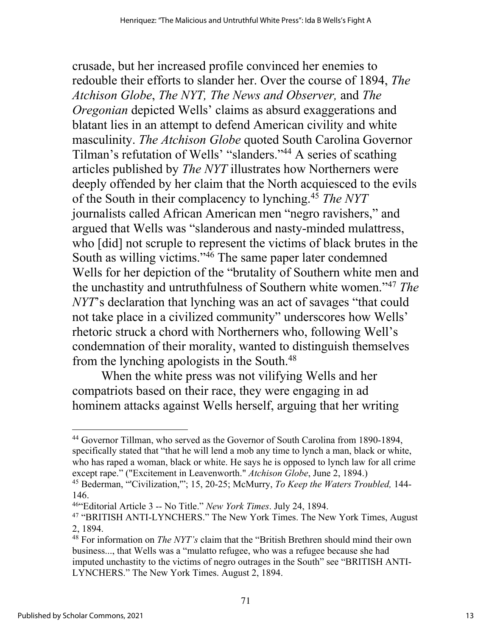crusade, but her increased profile convinced her enemies to redouble their efforts to slander her. Over the course of 1894, *The Atchison Globe*, *The NYT, The News and Observer,* and *The Oregonian* depicted Wells' claims as absurd exaggerations and blatant lies in an attempt to defend American civility and white masculinity. *The Atchison Globe* quoted South Carolina Governor Tilman's refutation of Wells' "slanders."44 A series of scathing articles published by *The NYT* illustrates how Northerners were deeply offended by her claim that the North acquiesced to the evils of the South in their complacency to lynching.45 *The NYT* journalists called African American men "negro ravishers," and argued that Wells was "slanderous and nasty-minded mulattress, who [did] not scruple to represent the victims of black brutes in the South as willing victims."46 The same paper later condemned Wells for her depiction of the "brutality of Southern white men and the unchastity and untruthfulness of Southern white women."47 *The NYT*'s declaration that lynching was an act of savages "that could not take place in a civilized community" underscores how Wells' rhetoric struck a chord with Northerners who, following Well's condemnation of their morality, wanted to distinguish themselves from the lynching apologists in the South.48

When the white press was not vilifying Wells and her compatriots based on their race, they were engaging in ad hominem attacks against Wells herself, arguing that her writing

<sup>&</sup>lt;sup>44</sup> Governor Tillman, who served as the Governor of South Carolina from 1890-1894, specifically stated that "that he will lend a mob any time to lynch a man, black or white, who has raped a woman, black or white. He says he is opposed to lynch law for all crime except rape." ("Excitement in Leavenworth." *Atchison Globe*, June 2, 1894.)

<sup>45</sup> Bederman, "'Civilization,'"; 15, 20-25; McMurry, *To Keep the Waters Troubled,* 144- 146.

<sup>46&</sup>quot;Editorial Article 3 -- No Title." *New York Times*. July 24, 1894.

<sup>47</sup> "BRITISH ANTI-LYNCHERS." The New York Times. The New York Times, August 2, 1894.

<sup>48</sup> For information on *The NYT's* claim that the "British Brethren should mind their own business..., that Wells was a "mulatto refugee, who was a refugee because she had imputed unchastity to the victims of negro outrages in the South" see "BRITISH ANTI-LYNCHERS." The New York Times. August 2, 1894.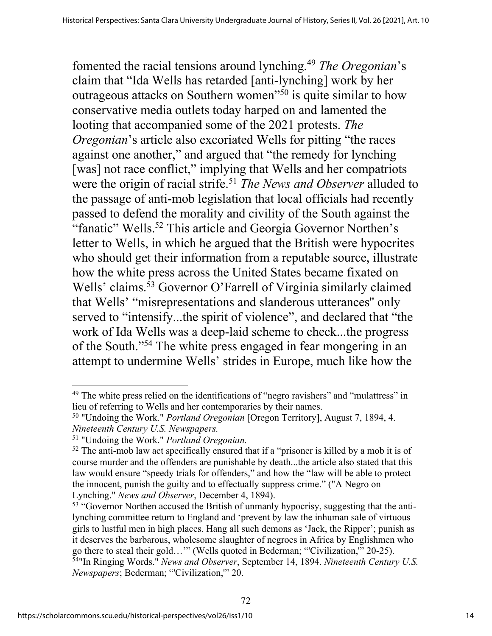fomented the racial tensions around lynching.49 *The Oregonian*'s claim that "Ida Wells has retarded [anti-lynching] work by her outrageous attacks on Southern women"50 is quite similar to how conservative media outlets today harped on and lamented the looting that accompanied some of the 2021 protests. *The Oregonian*'s article also excoriated Wells for pitting "the races against one another," and argued that "the remedy for lynching [was] not race conflict," implying that Wells and her compatriots were the origin of racial strife.<sup>51</sup> *The News and Observer* alluded to the passage of anti-mob legislation that local officials had recently passed to defend the morality and civility of the South against the "fanatic" Wells.<sup>52</sup> This article and Georgia Governor Northen's letter to Wells, in which he argued that the British were hypocrites who should get their information from a reputable source, illustrate how the white press across the United States became fixated on Wells' claims.<sup>53</sup> Governor O'Farrell of Virginia similarly claimed that Wells' "misrepresentations and slanderous utterances'' only served to "intensify...the spirit of violence", and declared that "the work of Ida Wells was a deep-laid scheme to check...the progress of the South."54 The white press engaged in fear mongering in an attempt to undermine Wells' strides in Europe, much like how the

<sup>&</sup>lt;sup>49</sup> The white press relied on the identifications of "negro ravishers" and "mulattress" in lieu of referring to Wells and her contemporaries by their names.

<sup>50</sup> "Undoing the Work." *Portland Oregonian* [Oregon Territory], August 7, 1894, 4. *Nineteenth Century U.S. Newspapers.*

<sup>51</sup> "Undoing the Work." *Portland Oregonian.*

 $52$  The anti-mob law act specifically ensured that if a "prisoner is killed by a mob it is of course murder and the offenders are punishable by death...the article also stated that this law would ensure "speedy trials for offenders," and how the "law will be able to protect the innocent, punish the guilty and to effectually suppress crime." ("A Negro on Lynching." *News and Observer*, December 4, 1894).

<sup>&</sup>lt;sup>53</sup> "Governor Northen accused the British of unmanly hypocrisy, suggesting that the antilynching committee return to England and 'prevent by law the inhuman sale of virtuous girls to lustful men in high places. Hang all such demons as 'Jack, the Ripper'; punish as it deserves the barbarous, wholesome slaughter of negroes in Africa by Englishmen who go there to steal their gold…'" (Wells quoted in Bederman; "'Civilization,'" 20-25). 54"In Ringing Words." *News and Observer*, September 14, 1894. *Nineteenth Century U.S. Newspapers*; Bederman; "'Civilization,'" 20.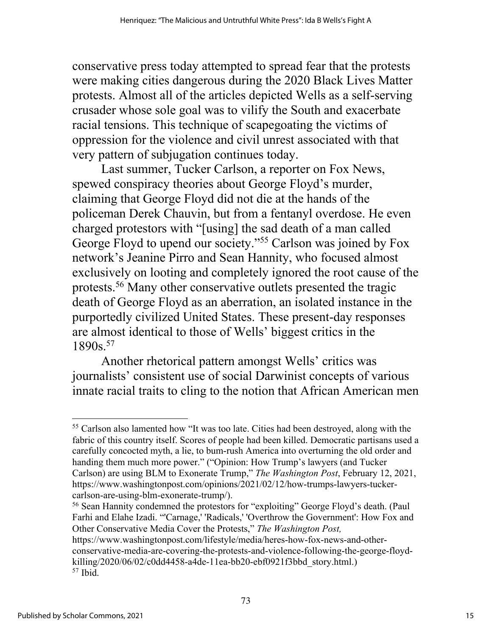conservative press today attempted to spread fear that the protests were making cities dangerous during the 2020 Black Lives Matter protests. Almost all of the articles depicted Wells as a self-serving crusader whose sole goal was to vilify the South and exacerbate racial tensions. This technique of scapegoating the victims of oppression for the violence and civil unrest associated with that very pattern of subjugation continues today.

Last summer, Tucker Carlson, a reporter on Fox News, spewed conspiracy theories about George Floyd's murder, claiming that George Floyd did not die at the hands of the policeman Derek Chauvin, but from a fentanyl overdose. He even charged protestors with "[using] the sad death of a man called George Floyd to upend our society."55 Carlson was joined by Fox network's Jeanine Pirro and Sean Hannity, who focused almost exclusively on looting and completely ignored the root cause of the protests.56 Many other conservative outlets presented the tragic death of George Floyd as an aberration, an isolated instance in the purportedly civilized United States. These present-day responses are almost identical to those of Wells' biggest critics in the 1890s.57

Another rhetorical pattern amongst Wells' critics was journalists' consistent use of social Darwinist concepts of various innate racial traits to cling to the notion that African American men

<sup>56</sup> Sean Hannity condemned the protestors for "exploiting" George Floyd's death. (Paul Farhi and Elahe Izadi. "'Carnage,' 'Radicals,' 'Overthrow the Government': How Fox and Other Conservative Media Cover the Protests," *The Washington Post,* 

<sup>&</sup>lt;sup>55</sup> Carlson also lamented how "It was too late. Cities had been destroyed, along with the fabric of this country itself. Scores of people had been killed. Democratic partisans used a carefully concocted myth, a lie, to bum-rush America into overturning the old order and handing them much more power." ("Opinion: How Trump's lawyers (and Tucker Carlson) are using BLM to Exonerate Trump," *The Washington Post*, February 12, 2021, https://www.washingtonpost.com/opinions/2021/02/12/how-trumps-lawyers-tuckercarlson-are-using-blm-exonerate-trump/).

https://www.washingtonpost.com/lifestyle/media/heres-how-fox-news-and-otherconservative-media-are-covering-the-protests-and-violence-following-the-george-floydkilling/2020/06/02/c0dd4458-a4de-11ea-bb20-ebf0921f3bbd\_story.html.) <sup>57</sup> Ibid.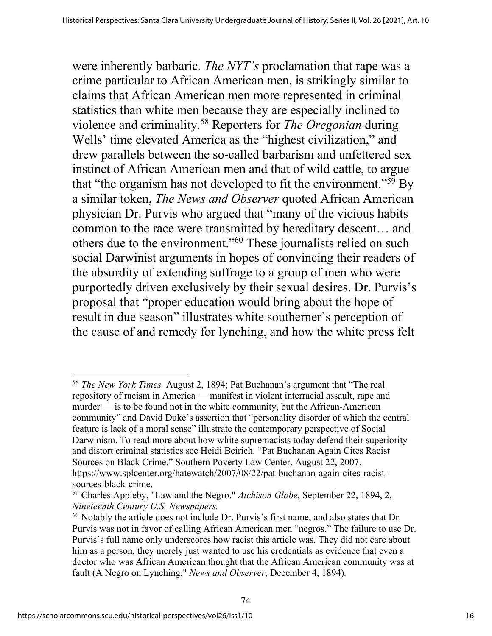were inherently barbaric. *The NYT's* proclamation that rape was a crime particular to African American men, is strikingly similar to claims that African American men more represented in criminal statistics than white men because they are especially inclined to violence and criminality.58 Reporters for *The Oregonian* during Wells' time elevated America as the "highest civilization," and drew parallels between the so-called barbarism and unfettered sex instinct of African American men and that of wild cattle, to argue that "the organism has not developed to fit the environment."59 By a similar token, *The News and Observer* quoted African American physician Dr. Purvis who argued that "many of the vicious habits common to the race were transmitted by hereditary descent… and others due to the environment."60 These journalists relied on such social Darwinist arguments in hopes of convincing their readers of the absurdity of extending suffrage to a group of men who were purportedly driven exclusively by their sexual desires. Dr. Purvis's proposal that "proper education would bring about the hope of result in due season" illustrates white southerner's perception of the cause of and remedy for lynching, and how the white press felt

<sup>58</sup> *The New York Times.* August 2, 1894; Pat Buchanan's argument that "The real repository of racism in America — manifest in violent interracial assault, rape and murder — is to be found not in the white community, but the African-American community" and David Duke's assertion that "personality disorder of which the central feature is lack of a moral sense" illustrate the contemporary perspective of Social Darwinism. To read more about how white supremacists today defend their superiority and distort criminal statistics see Heidi Beirich. "Pat Buchanan Again Cites Racist Sources on Black Crime." Southern Poverty Law Center, August 22, 2007, https://www.splcenter.org/hatewatch/2007/08/22/pat-buchanan-again-cites-racistsources-black-crime.

<sup>59</sup> Charles Appleby, "Law and the Negro." *Atchison Globe*, September 22, 1894, 2, *Nineteenth Century U.S. Newspapers.*

 $60$  Notably the article does not include Dr. Purvis's first name, and also states that Dr. Purvis was not in favor of calling African American men "negros." The failure to use Dr. Purvis's full name only underscores how racist this article was. They did not care about him as a person, they merely just wanted to use his credentials as evidence that even a doctor who was African American thought that the African American community was at fault (A Negro on Lynching," *News and Observer*, December 4, 1894)*.*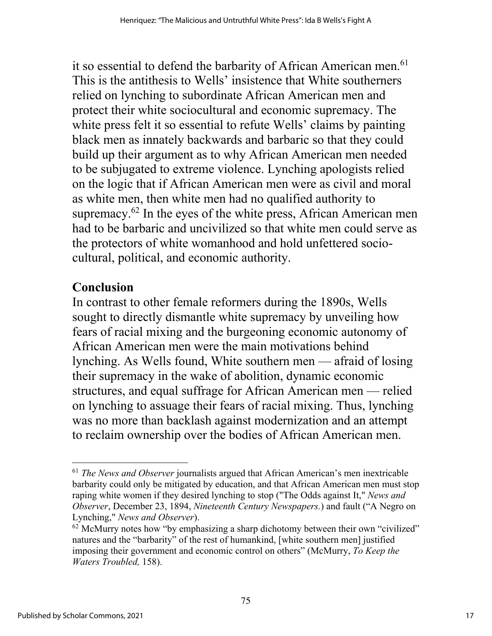it so essential to defend the barbarity of African American men.<sup>61</sup> This is the antithesis to Wells' insistence that White southerners relied on lynching to subordinate African American men and protect their white sociocultural and economic supremacy. The white press felt it so essential to refute Wells' claims by painting black men as innately backwards and barbaric so that they could build up their argument as to why African American men needed to be subjugated to extreme violence. Lynching apologists relied on the logic that if African American men were as civil and moral as white men, then white men had no qualified authority to supremacy.<sup>62</sup> In the eyes of the white press, African American men had to be barbaric and uncivilized so that white men could serve as the protectors of white womanhood and hold unfettered sociocultural, political, and economic authority.

# **Conclusion**

In contrast to other female reformers during the 1890s, Wells sought to directly dismantle white supremacy by unveiling how fears of racial mixing and the burgeoning economic autonomy of African American men were the main motivations behind lynching. As Wells found, White southern men — afraid of losing their supremacy in the wake of abolition, dynamic economic structures, and equal suffrage for African American men — relied on lynching to assuage their fears of racial mixing. Thus, lynching was no more than backlash against modernization and an attempt to reclaim ownership over the bodies of African American men.

<sup>61</sup> *The News and Observer* journalists argued that African American's men inextricable barbarity could only be mitigated by education, and that African American men must stop raping white women if they desired lynching to stop ("The Odds against It," *News and Observer*, December 23, 1894, *Nineteenth Century Newspapers.*) and fault ("A Negro on Lynching," *News and Observer*).

 $62$  McMurry notes how "by emphasizing a sharp dichotomy between their own "civilized" natures and the "barbarity" of the rest of humankind, [white southern men] justified imposing their government and economic control on others" (McMurry, *To Keep the Waters Troubled,* 158).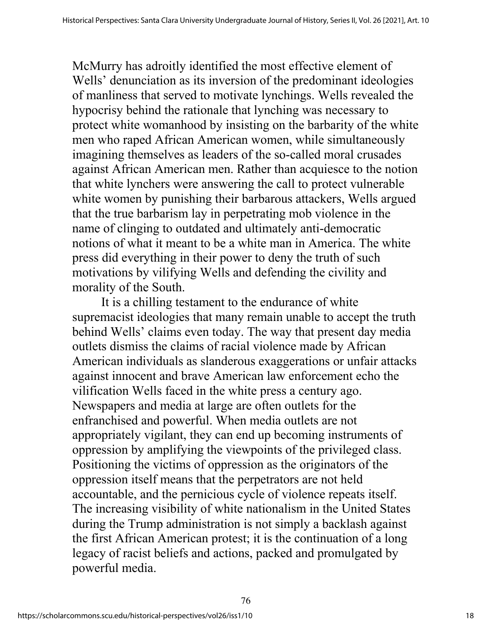McMurry has adroitly identified the most effective element of Wells' denunciation as its inversion of the predominant ideologies of manliness that served to motivate lynchings. Wells revealed the hypocrisy behind the rationale that lynching was necessary to protect white womanhood by insisting on the barbarity of the white men who raped African American women, while simultaneously imagining themselves as leaders of the so-called moral crusades against African American men. Rather than acquiesce to the notion that white lynchers were answering the call to protect vulnerable white women by punishing their barbarous attackers, Wells argued that the true barbarism lay in perpetrating mob violence in the name of clinging to outdated and ultimately anti-democratic notions of what it meant to be a white man in America. The white press did everything in their power to deny the truth of such motivations by vilifying Wells and defending the civility and morality of the South.

It is a chilling testament to the endurance of white supremacist ideologies that many remain unable to accept the truth behind Wells' claims even today. The way that present day media outlets dismiss the claims of racial violence made by African American individuals as slanderous exaggerations or unfair attacks against innocent and brave American law enforcement echo the vilification Wells faced in the white press a century ago. Newspapers and media at large are often outlets for the enfranchised and powerful. When media outlets are not appropriately vigilant, they can end up becoming instruments of oppression by amplifying the viewpoints of the privileged class. Positioning the victims of oppression as the originators of the oppression itself means that the perpetrators are not held accountable, and the pernicious cycle of violence repeats itself. The increasing visibility of white nationalism in the United States during the Trump administration is not simply a backlash against the first African American protest; it is the continuation of a long legacy of racist beliefs and actions, packed and promulgated by powerful media.

76